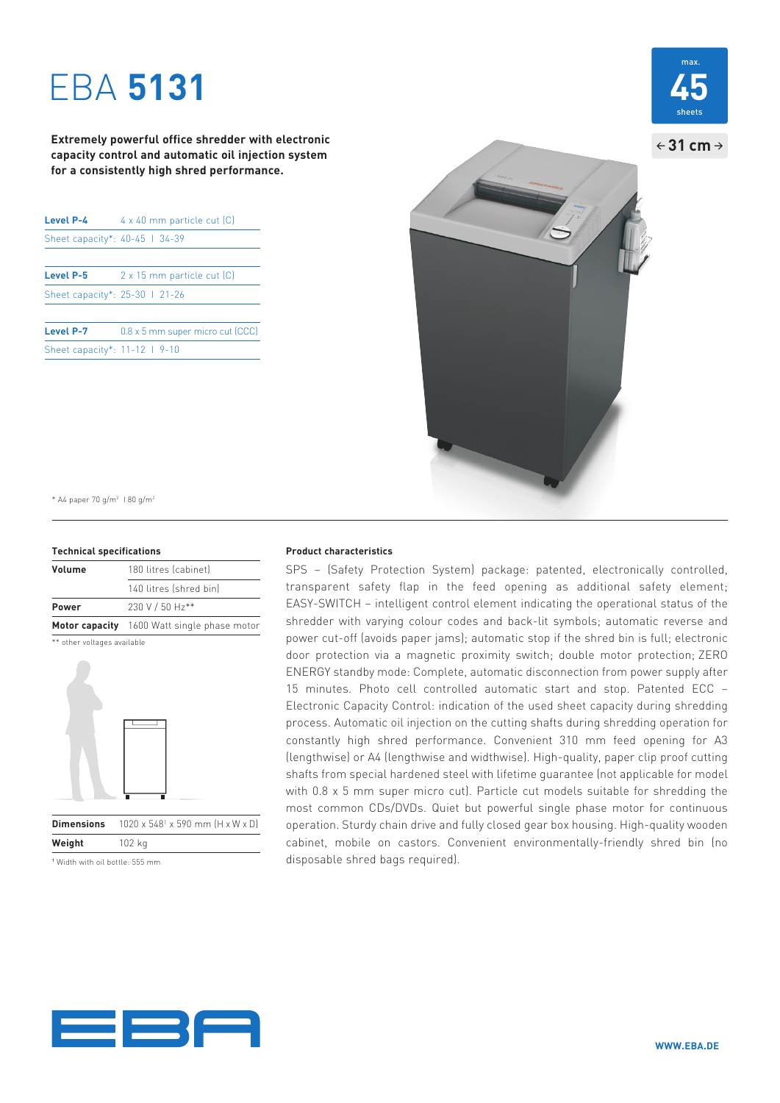# EBA **5131**

**Extremely powerful office shredder with electronic capacity control and automatic oil injection system for a consistently high shred performance.**

| Level P-4                      | 4 x 40 mm particle cut [C]       |
|--------------------------------|----------------------------------|
| Sheet capacity*: 40-45   34-39 |                                  |
|                                |                                  |
| Level P-5                      | 2 x 15 mm particle cut [C]       |
| Sheet capacity*: 25-30   21-26 |                                  |
| Level P-7                      | 0.8 x 5 mm super micro cut (CCC) |
| Sheet capacity*: 11-12   9-10  |                                  |

 $\div$  31 cm  $\rightarrow$ 

\* A4 paper 70 g/m2 I 80 g/m2

### **Technical specifications**

| Volume | 180 litres (cabinet)                        |
|--------|---------------------------------------------|
|        | 140 litres (shred bin)                      |
| Power  | 230 V / 50 Hz**                             |
|        | Motor capacity 1600 Watt single phase motor |
|        |                                             |

\*\* other voltages available



**Dimensions**  x 590 mm (H x W x D) **Weight** 102 kg

1 Width with oil bottle: 555 mm

### **Product characteristics**

SPS – (Safety Protection System) package: patented, electronically controlled, transparent safety flap in the feed opening as additional safety element; EASY-SWITCH – intelligent control element indicating the operational status of the shredder with varying colour codes and back-lit symbols; automatic reverse and power cut-off (avoids paper jams); automatic stop if the shred bin is full; electronic door protection via a magnetic proximity switch; double motor protection; ZERO ENERGY standby mode: Complete, automatic disconnection from power supply after 15 minutes. Photo cell controlled automatic start and stop. Patented ECC – Electronic Capacity Control: indication of the used sheet capacity during shredding process. Automatic oil injection on the cutting shafts during shredding operation for constantly high shred performance. Convenient 310 mm feed opening for A3 (lengthwise) or A4 (lengthwise and widthwise). High-quality, paper clip proof cutting shafts from special hardened steel with lifetime guarantee (not applicable for model with 0.8 x 5 mm super micro cut). Particle cut models suitable for shredding the most common CDs/DVDs. Quiet but powerful single phase motor for continuous operation. Sturdy chain drive and fully closed gear box housing. High-quality wooden cabinet, mobile on castors. Convenient environmentally-friendly shred bin (no disposable shred bags required).